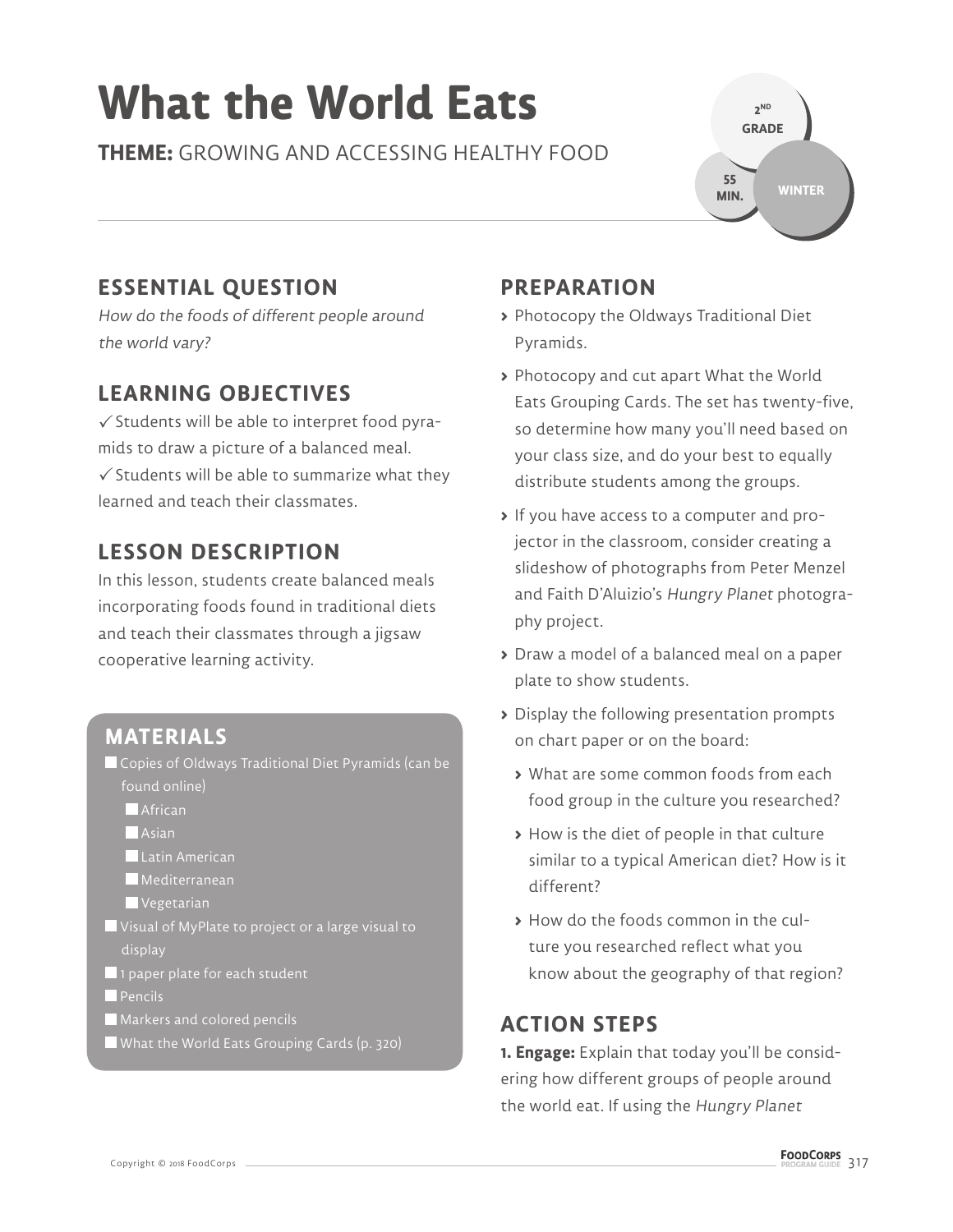# **What the World Eats**

**THEME:** GROWING AND ACCESSING HEALTHY FOOD

**2 ND GRADE WINTER 55 MIN.**

# **ESSENTIAL QUESTION**

How do the foods of different people around the world vary?

# **LEARNING OBJECTIVES**

 $\checkmark$  Students will be able to interpret food pyramids to draw a picture of a balanced meal.  $\checkmark$  Students will be able to summarize what they learned and teach their classmates.

# **LESSON DESCRIPTION**

In this lesson, students create balanced meals incorporating foods found in traditional diets and teach their classmates through a jigsaw cooperative learning activity.

# **MATERIALS**

- Copies of Oldways Traditional Diet Pyramids (can be found online)
	- **African**
	- **Asian**
	- Latin American
	- **Mediterranean**
	- Vegetarian
- Visual of MyPlate to project or a large visual to display
- 1 paper plate for each student
- **Pencils**
- Markers and colored pencils
- What the World Eats Grouping Cards (p. 320)

# **PREPARATION**

- **>** Photocopy the Oldways Traditional Diet Pyramids.
- **>** Photocopy and cut apart What the World Eats Grouping Cards. The set has twenty-five, so determine how many you'll need based on your class size, and do your best to equally distribute students among the groups.
- **>** If you have access to a computer and projector in the classroom, consider creating a slideshow of photographs from Peter Menzel and Faith D'Aluizio's Hungry Planet photography project.
- **>** Draw a model of a balanced meal on a paper plate to show students.
- **>** Display the following presentation prompts on chart paper or on the board:
	- **>** What are some common foods from each food group in the culture you researched?
	- **>** How is the diet of people in that culture similar to a typical American diet? How is it different?
	- **>** How do the foods common in the culture you researched reflect what you know about the geography of that region?

## **ACTION STEPS**

**1. Engage:** Explain that today you'll be considering how different groups of people around the world eat. If using the Hungry Planet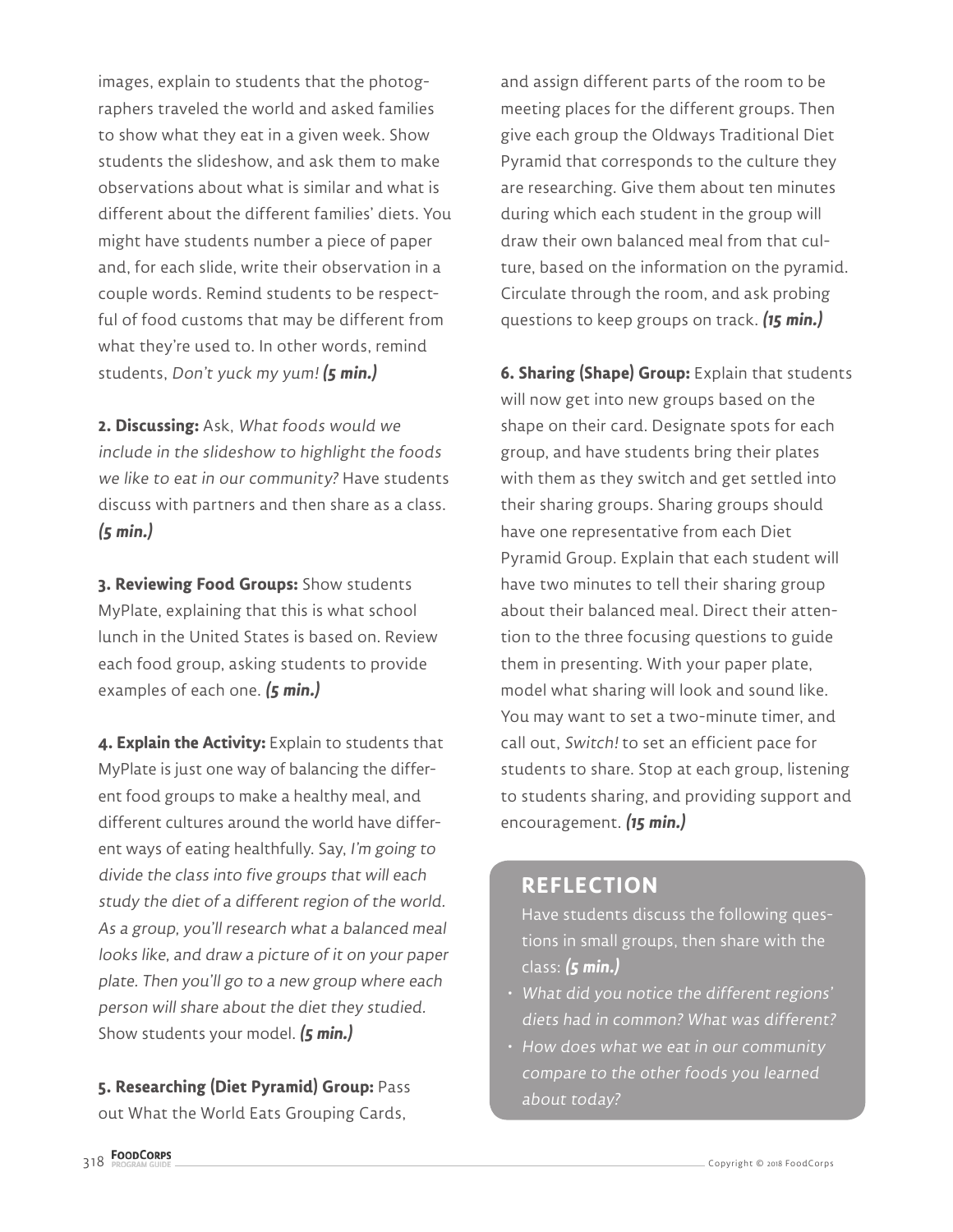images, explain to students that the photographers traveled the world and asked families to show what they eat in a given week. Show students the slideshow, and ask them to make observations about what is similar and what is different about the different families' diets. You might have students number a piece of paper and, for each slide, write their observation in a couple words. Remind students to be respectful of food customs that may be different from what they're used to. In other words, remind students, Don't yuck my yum! **(5 min.)**

**2. Discussing:** Ask, What foods would we include in the slideshow to highlight the foods we like to eat in our community? Have students discuss with partners and then share as a class. **(5 min.)**

**3. Reviewing Food Groups:** Show students MyPlate, explaining that this is what school lunch in the United States is based on. Review each food group, asking students to provide examples of each one. **(5 min.)**

**4. Explain the Activity:** Explain to students that MyPlate is just one way of balancing the different food groups to make a healthy meal, and different cultures around the world have different ways of eating healthfully. Say, I'm going to divide the class into five groups that will each study the diet of a different region of the world. As a group, you'll research what a balanced meal looks like, and draw a picture of it on your paper plate. Then you'll go to a new group where each person will share about the diet they studied. Show students your model. **(5 min.)**

**5. Researching (Diet Pyramid) Group:** Pass out What the World Eats Grouping Cards,

and assign different parts of the room to be meeting places for the different groups. Then give each group the Oldways Traditional Diet Pyramid that corresponds to the culture they are researching. Give them about ten minutes during which each student in the group will draw their own balanced meal from that culture, based on the information on the pyramid. Circulate through the room, and ask probing questions to keep groups on track. **(15 min.)**

**6. Sharing (Shape) Group:** Explain that students will now get into new groups based on the shape on their card. Designate spots for each group, and have students bring their plates with them as they switch and get settled into their sharing groups. Sharing groups should have one representative from each Diet Pyramid Group. Explain that each student will have two minutes to tell their sharing group about their balanced meal. Direct their attention to the three focusing questions to guide them in presenting. With your paper plate, model what sharing will look and sound like. You may want to set a two-minute timer, and call out, Switch! to set an efficient pace for students to share. Stop at each group, listening to students sharing, and providing support and encouragement. **(15 min.)**

#### **REFLECTION**

Have students discuss the following questions in small groups, then share with the class: **(5 min.)**

- What did you notice the different regions' diets had in common? What was different?
- How does what we eat in our community compare to the other foods you learned about today?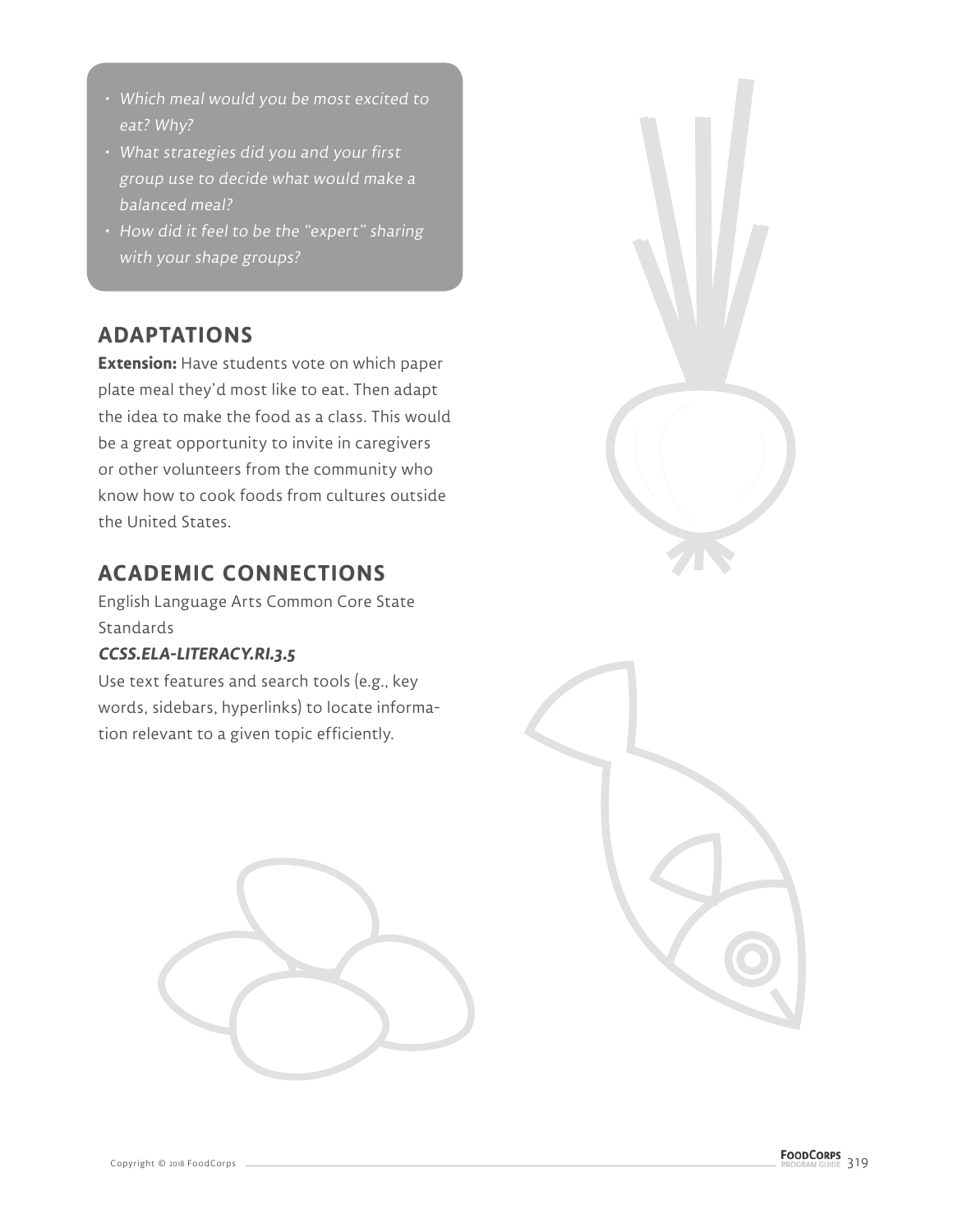- Which meal would you be most excited to eat? Why?
- What strategies did you and your first group use to decide what would make a balanced meal?
- How did it feel to be the "expert" sharing with your shape groups?

## **ADAPTATIONS**

**Extension:** Have students vote on which paper plate meal they'd most like to eat. Then adapt the idea to make the food as a class. This would be a great opportunity to invite in caregivers or other volunteers from the community who know how to cook foods from cultures outside the United States.

# **ACADEMIC CONNECTIONS**

English Language Arts Common Core State **Standards** 

#### **CCSS.ELA-LITERACY.RI.3.5**

Use text features and search tools (e.g., key words, sidebars, hyperlinks) to locate information relevant to a given topic efficiently.